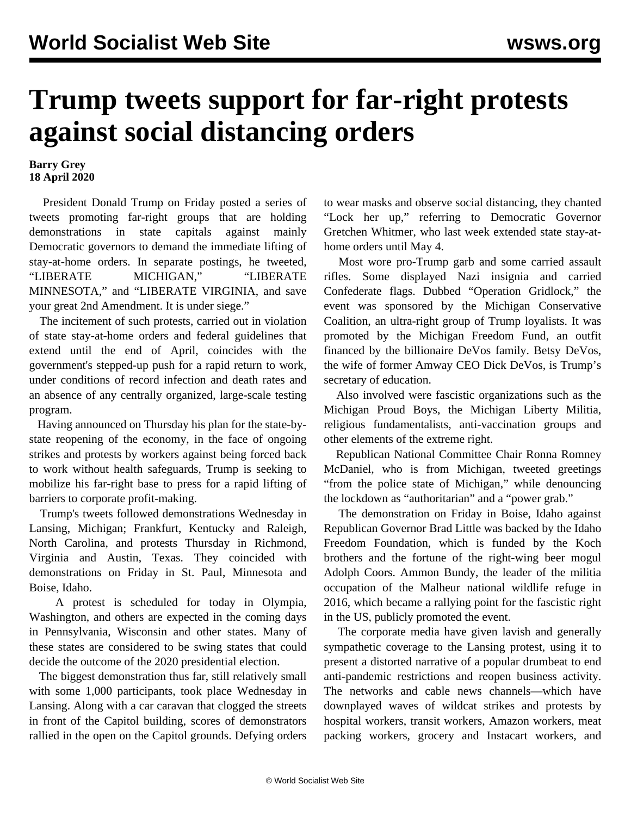## **Trump tweets support for far-right protests against social distancing orders**

## **Barry Grey 18 April 2020**

 President Donald Trump on Friday posted a series of tweets promoting far-right groups that are holding demonstrations in state capitals against mainly Democratic governors to demand the immediate lifting of stay-at-home orders. In separate postings, he tweeted, "LIBERATE MICHIGAN," "LIBERATE MINNESOTA," and "LIBERATE VIRGINIA, and save your great 2nd Amendment. It is under siege."

 The incitement of such protests, carried out in violation of state stay-at-home orders and federal guidelines that extend until the end of April, coincides with the government's stepped-up push for a rapid return to work, under conditions of record infection and death rates and an absence of any centrally organized, large-scale testing program.

 Having announced on Thursday his plan for the state-bystate reopening of the economy, in the face of ongoing strikes and protests by workers against being forced back to work without health safeguards, Trump is seeking to mobilize his far-right base to press for a rapid lifting of barriers to corporate profit-making.

 Trump's tweets followed demonstrations Wednesday in Lansing, Michigan; Frankfurt, Kentucky and Raleigh, North Carolina, and protests Thursday in Richmond, Virginia and Austin, Texas. They coincided with demonstrations on Friday in St. Paul, Minnesota and Boise, Idaho.

 A protest is scheduled for today in Olympia, Washington, and others are expected in the coming days in Pennsylvania, Wisconsin and other states. Many of these states are considered to be swing states that could decide the outcome of the 2020 presidential election.

 The biggest demonstration thus far, still relatively small with some 1,000 participants, took place Wednesday in Lansing. Along with a car caravan that clogged the streets in front of the Capitol building, scores of demonstrators rallied in the open on the Capitol grounds. Defying orders to wear masks and observe social distancing, they chanted "Lock her up," referring to Democratic Governor Gretchen Whitmer, who last week extended state stay-athome orders until May 4.

 Most wore pro-Trump garb and some carried assault rifles. Some displayed Nazi insignia and carried Confederate flags. Dubbed "Operation Gridlock," the event was sponsored by the Michigan Conservative Coalition, an ultra-right group of Trump loyalists. It was promoted by the Michigan Freedom Fund, an outfit financed by the billionaire DeVos family. Betsy DeVos, the wife of former Amway CEO Dick DeVos, is Trump's secretary of education.

 Also involved were fascistic organizations such as the Michigan Proud Boys, the Michigan Liberty Militia, religious fundamentalists, anti-vaccination groups and other elements of the extreme right.

 Republican National Committee Chair Ronna Romney McDaniel, who is from Michigan, tweeted greetings "from the police state of Michigan," while denouncing the lockdown as "authoritarian" and a "power grab."

 The demonstration on Friday in Boise, Idaho against Republican Governor Brad Little was backed by the Idaho Freedom Foundation, which is funded by the Koch brothers and the fortune of the right-wing beer mogul Adolph Coors. Ammon Bundy, the leader of the militia occupation of the Malheur national wildlife refuge in 2016, which became a rallying point for the fascistic right in the US, publicly promoted the event.

 The corporate media have given lavish and generally sympathetic coverage to the Lansing protest, using it to present a distorted narrative of a popular drumbeat to end anti-pandemic restrictions and reopen business activity. The networks and cable news channels—which have downplayed waves of wildcat strikes and protests by hospital workers, transit workers, Amazon workers, meat packing workers, grocery and Instacart workers, and